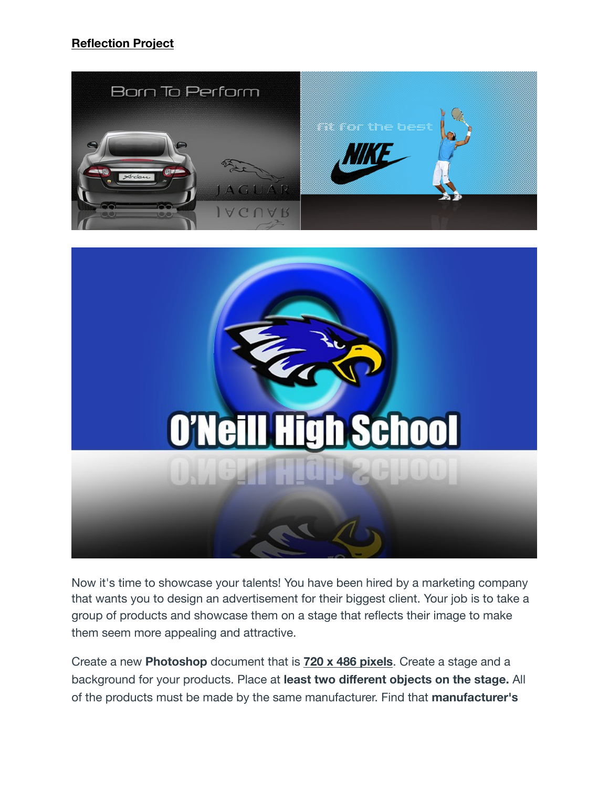## **Reflection Project**



Now it's time to showcase your talents! You have been hired by a marketing company that wants you to design an advertisement for their biggest client. Your job is to take a group of products and showcase them on a stage that reflects their image to make them seem more appealing and attractive.

Create a new **Photoshop** document that is **720 x 486 pixels**. Create a stage and a background for your products. Place at **least two different objects on the stage.** All of the products must be made by the same manufacturer. Find that **manufacturer's**